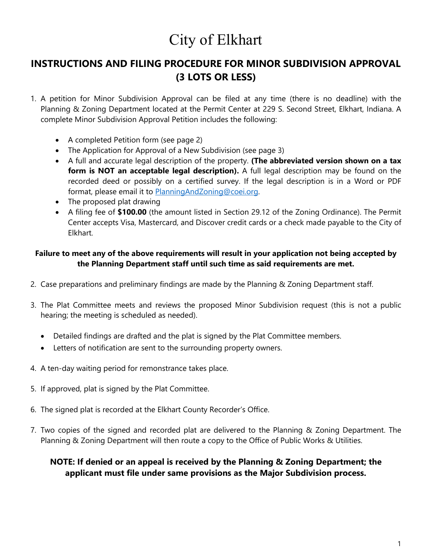# City of Elkhart

### **INSTRUCTIONS AND FILING PROCEDURE FOR MINOR SUBDIVISION APPROVAL (3 LOTS OR LESS)**

- 1. A petition for Minor Subdivision Approval can be filed at any time (there is no deadline) with the Planning & Zoning Department located at the Permit Center at 229 S. Second Street, Elkhart, Indiana. A complete Minor Subdivision Approval Petition includes the following:
	- A completed Petition form (see page 2)
	- The Application for Approval of a New Subdivision (see page 3)
	- A full and accurate legal description of the property. **(The abbreviated version shown on a tax**  form is NOT an acceptable legal description). A full legal description may be found on the recorded deed or possibly on a certified survey. If the legal description is in a Word or PDF format, please email it to [PlanningAndZoning@coei.org.](mailto:PlanningAndZoning@coei.org)
	- The proposed plat drawing
	- A filing fee of **\$100.00** (the amount listed in Section 29.12 of the Zoning Ordinance). The Permit Center accepts Visa, Mastercard, and Discover credit cards or a check made payable to the City of Elkhart.

#### **Failure to meet any of the above requirements will result in your application not being accepted by the Planning Department staff until such time as said requirements are met.**

- 2. Case preparations and preliminary findings are made by the Planning & Zoning Department staff.
- 3. The Plat Committee meets and reviews the proposed Minor Subdivision request (this is not a public hearing; the meeting is scheduled as needed).
	- Detailed findings are drafted and the plat is signed by the Plat Committee members.
	- Letters of notification are sent to the surrounding property owners.
- 4. A ten-day waiting period for remonstrance takes place.
- 5. If approved, plat is signed by the Plat Committee.
- 6. The signed plat is recorded at the Elkhart County Recorder's Office.
- 7. Two copies of the signed and recorded plat are delivered to the Planning & Zoning Department. The Planning & Zoning Department will then route a copy to the Office of Public Works & Utilities.

### **NOTE: If denied or an appeal is received by the Planning & Zoning Department; the applicant must file under same provisions as the Major Subdivision process.**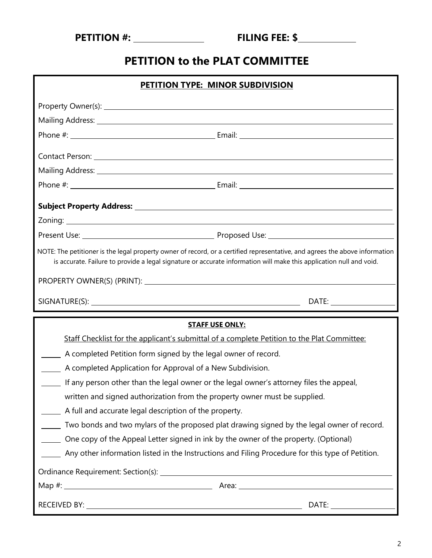| <b>PETITION #:</b> |
|--------------------|
|--------------------|

## **PETITION to the PLAT COMMITTEE**

| PETITION TYPE: MINOR SUBDIVISION                                                                                                                                                                                                                   |                                                                                                                |
|----------------------------------------------------------------------------------------------------------------------------------------------------------------------------------------------------------------------------------------------------|----------------------------------------------------------------------------------------------------------------|
|                                                                                                                                                                                                                                                    |                                                                                                                |
|                                                                                                                                                                                                                                                    |                                                                                                                |
|                                                                                                                                                                                                                                                    |                                                                                                                |
|                                                                                                                                                                                                                                                    | Contact Person: 1988 and 2008 and 2008 and 2008 and 2008 and 2008 and 2008 and 2008 and 2008 and 2008 and 2008 |
|                                                                                                                                                                                                                                                    |                                                                                                                |
|                                                                                                                                                                                                                                                    |                                                                                                                |
|                                                                                                                                                                                                                                                    |                                                                                                                |
|                                                                                                                                                                                                                                                    |                                                                                                                |
|                                                                                                                                                                                                                                                    |                                                                                                                |
| NOTE: The petitioner is the legal property owner of record, or a certified representative, and agrees the above information<br>is accurate. Failure to provide a legal signature or accurate information will make this application null and void. |                                                                                                                |
|                                                                                                                                                                                                                                                    |                                                                                                                |
|                                                                                                                                                                                                                                                    |                                                                                                                |
|                                                                                                                                                                                                                                                    |                                                                                                                |
|                                                                                                                                                                                                                                                    | <b>STAFF USE ONLY:</b>                                                                                         |
|                                                                                                                                                                                                                                                    | Staff Checklist for the applicant's submittal of a complete Petition to the Plat Committee:                    |
| A completed Petition form signed by the legal owner of record.                                                                                                                                                                                     |                                                                                                                |
| A completed Application for Approval of a New Subdivision.                                                                                                                                                                                         |                                                                                                                |
| If any person other than the legal owner or the legal owner's attorney files the appeal,                                                                                                                                                           |                                                                                                                |
| written and signed authorization from the property owner must be supplied.                                                                                                                                                                         |                                                                                                                |
| A full and accurate legal description of the property.                                                                                                                                                                                             |                                                                                                                |
|                                                                                                                                                                                                                                                    | Two bonds and two mylars of the proposed plat drawing signed by the legal owner of record.                     |
| One copy of the Appeal Letter signed in ink by the owner of the property. (Optional)                                                                                                                                                               |                                                                                                                |
|                                                                                                                                                                                                                                                    | Any other information listed in the Instructions and Filing Procedure for this type of Petition.               |
|                                                                                                                                                                                                                                                    |                                                                                                                |
|                                                                                                                                                                                                                                                    |                                                                                                                |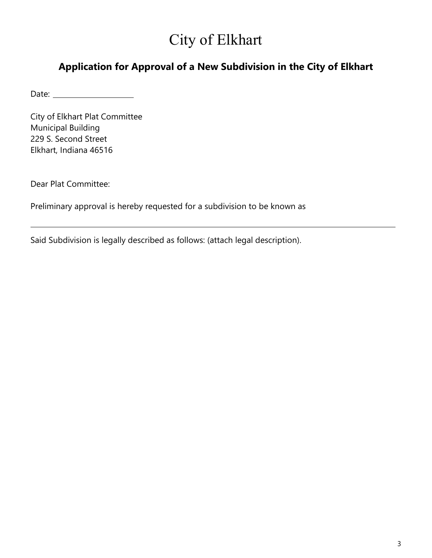# City of Elkhart

### **Application for Approval of a New Subdivision in the City of Elkhart**

Date:

City of Elkhart Plat Committee Municipal Building 229 S. Second Street Elkhart, Indiana 46516

Dear Plat Committee:

Preliminary approval is hereby requested for a subdivision to be known as

Said Subdivision is legally described as follows: (attach legal description).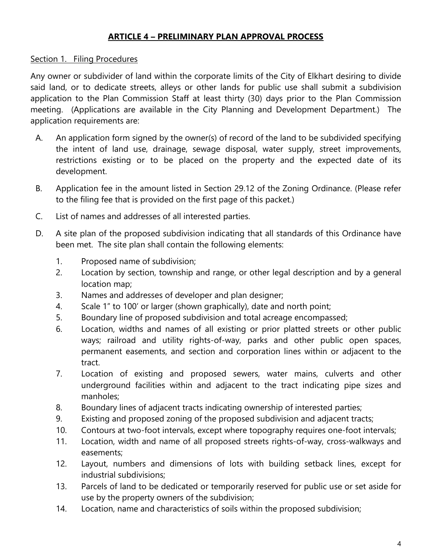### **ARTICLE 4 – PRELIMINARY PLAN APPROVAL PROCESS**

#### Section 1. Filing Procedures

Any owner or subdivider of land within the corporate limits of the City of Elkhart desiring to divide said land, or to dedicate streets, alleys or other lands for public use shall submit a subdivision application to the Plan Commission Staff at least thirty (30) days prior to the Plan Commission meeting. (Applications are available in the City Planning and Development Department.) The application requirements are:

- A. An application form signed by the owner(s) of record of the land to be subdivided specifying the intent of land use, drainage, sewage disposal, water supply, street improvements, restrictions existing or to be placed on the property and the expected date of its development.
- B. Application fee in the amount listed in Section 29.12 of the Zoning Ordinance. (Please refer to the filing fee that is provided on the first page of this packet.)
- C. List of names and addresses of all interested parties.
- D. A site plan of the proposed subdivision indicating that all standards of this Ordinance have been met. The site plan shall contain the following elements:
	- 1. Proposed name of subdivision;
	- 2. Location by section, township and range, or other legal description and by a general location map;
	- 3. Names and addresses of developer and plan designer;
	- 4. Scale 1" to 100' or larger (shown graphically), date and north point;
	- 5. Boundary line of proposed subdivision and total acreage encompassed;
	- 6. Location, widths and names of all existing or prior platted streets or other public ways; railroad and utility rights-of-way, parks and other public open spaces, permanent easements, and section and corporation lines within or adjacent to the tract.
	- 7. Location of existing and proposed sewers, water mains, culverts and other underground facilities within and adjacent to the tract indicating pipe sizes and manholes;
	- 8. Boundary lines of adjacent tracts indicating ownership of interested parties;
	- 9. Existing and proposed zoning of the proposed subdivision and adjacent tracts;
	- 10. Contours at two-foot intervals, except where topography requires one-foot intervals;
	- 11. Location, width and name of all proposed streets rights-of-way, cross-walkways and easements;
	- 12. Layout, numbers and dimensions of lots with building setback lines, except for industrial subdivisions;
	- 13. Parcels of land to be dedicated or temporarily reserved for public use or set aside for use by the property owners of the subdivision;
	- 14. Location, name and characteristics of soils within the proposed subdivision;